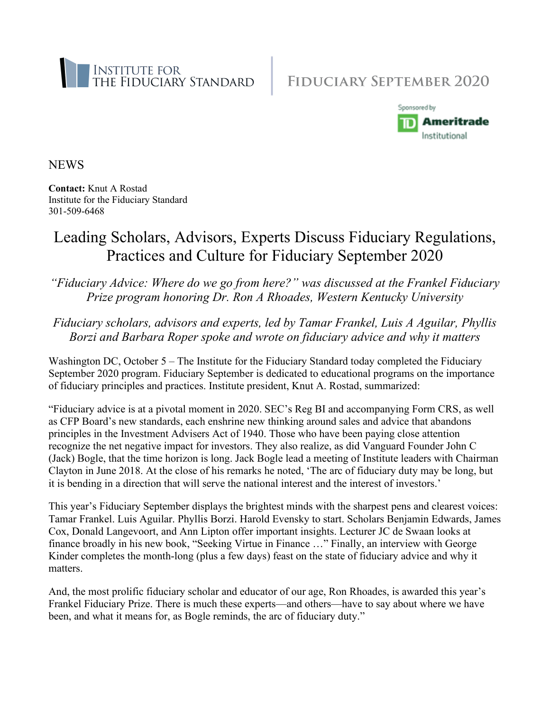



**NEWS** 

**Contact:** Knut A Rostad Institute for the Fiduciary Standard 301-509-6468

# Leading Scholars, Advisors, Experts Discuss Fiduciary Regulations, Practices and Culture for Fiduciary September 2020

*"Fiduciary Advice: Where do we go from here?" was discussed at the Frankel Fiduciary Prize program honoring Dr. Ron A Rhoades, Western Kentucky University*

*Fiduciary scholars, advisors and experts, led by Tamar Frankel, Luis A Aguilar, Phyllis Borzi and Barbara Roper spoke and wrote on fiduciary advice and why it matters*

Washington DC, October 5 – The Institute for the Fiduciary Standard today completed the Fiduciary September 2020 program. Fiduciary September is dedicated to educational programs on the importance of fiduciary principles and practices. Institute president, Knut A. Rostad, summarized:

"Fiduciary advice is at a pivotal moment in 2020. SEC's Reg BI and accompanying Form CRS, as well as CFP Board's new standards, each enshrine new thinking around sales and advice that abandons principles in the Investment Advisers Act of 1940. Those who have been paying close attention recognize the net negative impact for investors. They also realize, as did Vanguard Founder John C (Jack) Bogle, that the time horizon is long. Jack Bogle lead a meeting of Institute leaders with Chairman Clayton in June 2018. At the close of his remarks he noted, 'The arc of fiduciary duty may be long, but it is bending in a direction that will serve the national interest and the interest of investors.'

This year's Fiduciary September displays the brightest minds with the sharpest pens and clearest voices: Tamar Frankel. Luis Aguilar. Phyllis Borzi. Harold Evensky to start. Scholars Benjamin Edwards, James Cox, Donald Langevoort, and Ann Lipton offer important insights. Lecturer JC de Swaan looks at finance broadly in his new book, "Seeking Virtue in Finance …" Finally, an interview with George Kinder completes the month-long (plus a few days) feast on the state of fiduciary advice and why it matters.

And, the most prolific fiduciary scholar and educator of our age, Ron Rhoades, is awarded this year's Frankel Fiduciary Prize. There is much these experts—and others—have to say about where we have been, and what it means for, as Bogle reminds, the arc of fiduciary duty."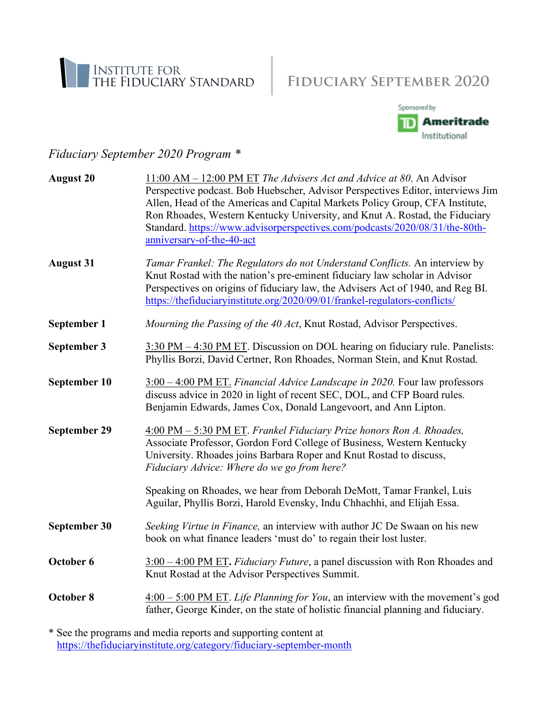



### *Fiduciary September 2020 Program \**

| 11:00 AM – 12:00 PM ET The Advisers Act and Advice at 80. An Advisor<br>Perspective podcast. Bob Huebscher, Advisor Perspectives Editor, interviews Jim<br>Allen, Head of the Americas and Capital Markets Policy Group, CFA Institute,<br>Ron Rhoades, Western Kentucky University, and Knut A. Rostad, the Fiduciary<br>Standard. https://www.advisorperspectives.com/podcasts/2020/08/31/the-80th-<br>anniversary-of-the-40-act |
|------------------------------------------------------------------------------------------------------------------------------------------------------------------------------------------------------------------------------------------------------------------------------------------------------------------------------------------------------------------------------------------------------------------------------------|
| Tamar Frankel: The Regulators do not Understand Conflicts. An interview by<br>Knut Rostad with the nation's pre-eminent fiduciary law scholar in Advisor<br>Perspectives on origins of fiduciary law, the Advisers Act of 1940, and Reg BI.<br>https://thefiduciaryinstitute.org/2020/09/01/frankel-regulators-conflicts/                                                                                                          |
| Mourning the Passing of the 40 Act, Knut Rostad, Advisor Perspectives.                                                                                                                                                                                                                                                                                                                                                             |
| 3:30 PM – 4:30 PM ET. Discussion on DOL hearing on fiduciary rule. Panelists:<br>Phyllis Borzi, David Certner, Ron Rhoades, Norman Stein, and Knut Rostad.                                                                                                                                                                                                                                                                         |
| 3:00 - 4:00 PM ET. Financial Advice Landscape in 2020. Four law professors<br>discuss advice in 2020 in light of recent SEC, DOL, and CFP Board rules.<br>Benjamin Edwards, James Cox, Donald Langevoort, and Ann Lipton.                                                                                                                                                                                                          |
| 4:00 PM - 5:30 PM ET. Frankel Fiduciary Prize honors Ron A. Rhoades,<br>Associate Professor, Gordon Ford College of Business, Western Kentucky<br>University. Rhoades joins Barbara Roper and Knut Rostad to discuss,<br>Fiduciary Advice: Where do we go from here?                                                                                                                                                               |
| Speaking on Rhoades, we hear from Deborah DeMott, Tamar Frankel, Luis<br>Aguilar, Phyllis Borzi, Harold Evensky, Indu Chhachhi, and Elijah Essa.                                                                                                                                                                                                                                                                                   |
| Seeking Virtue in Finance, an interview with author JC De Swaan on his new<br>book on what finance leaders 'must do' to regain their lost luster.                                                                                                                                                                                                                                                                                  |
| $3:00 - 4:00$ PM ET. <i>Fiduciary Future</i> , a panel discussion with Ron Rhoades and<br>Knut Rostad at the Advisor Perspectives Summit.                                                                                                                                                                                                                                                                                          |
| $4:00 - 5:00$ PM ET. Life Planning for You, an interview with the movement's god<br>father, George Kinder, on the state of holistic financial planning and fiduciary.                                                                                                                                                                                                                                                              |
|                                                                                                                                                                                                                                                                                                                                                                                                                                    |

\* See the programs and media reports and supporting content at <https://thefiduciaryinstitute.org/category/fiduciary-september-month>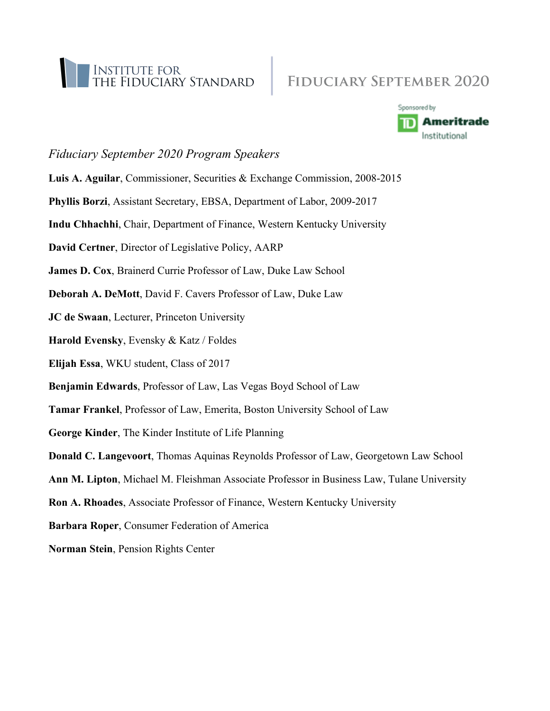



#### *Fiduciary September 2020 Program Speakers*

- **Luis A. Aguilar**, Commissioner, Securities & Exchange Commission, 2008-2015
- **Phyllis Borzi**, Assistant Secretary, EBSA, Department of Labor, 2009-2017
- **Indu Chhachhi**, Chair, Department of Finance, Western Kentucky University
- **David Certner**, Director of Legislative Policy, AARP
- **James D. Cox**, Brainerd Currie Professor of Law, Duke Law School
- **Deborah A. DeMott**, David F. Cavers Professor of Law, Duke Law
- **JC de Swaan**, Lecturer, Princeton University
- **Harold Evensky**, Evensky & Katz / Foldes
- **Elijah Essa**, WKU student, Class of 2017
- **Benjamin Edwards**, Professor of Law, Las Vegas Boyd School of Law
- **Tamar Frankel**, Professor of Law, Emerita, Boston University School of Law
- **George Kinder**, The Kinder Institute of Life Planning
- **Donald C. Langevoort**, Thomas Aquinas Reynolds Professor of Law, Georgetown Law School
- **Ann M. Lipton**, Michael M. Fleishman Associate Professor in Business Law, Tulane University
- **Ron A. Rhoades**, Associate Professor of Finance, Western Kentucky University
- **Barbara Roper**, Consumer Federation of America
- **Norman Stein**, Pension Rights Center